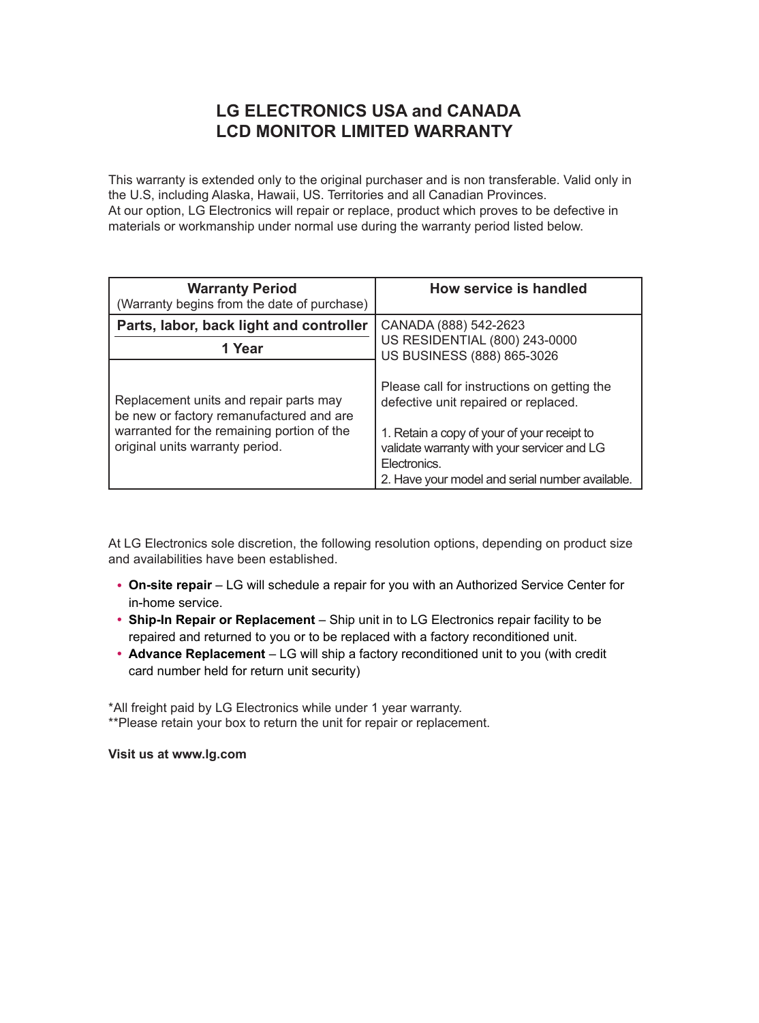## **LG ELECTRONICS USA and CANADA LCD MONITOR LIMITED WARRANTY**

This warranty is extended only to the original purchaser and is non transferable. Valid only in the U.S, including Alaska, Hawaii, US. Territories and all Canadian Provinces. At our option, LG Electronics will repair or replace, product which proves to be defective in materials or workmanship under normal use during the warranty period listed below.

| <b>Warranty Period</b><br>(Warranty begins from the date of purchase)                                                                                               | How service is handled                                                                                                                                                                                                                               |
|---------------------------------------------------------------------------------------------------------------------------------------------------------------------|------------------------------------------------------------------------------------------------------------------------------------------------------------------------------------------------------------------------------------------------------|
| Parts, labor, back light and controller                                                                                                                             | CANADA (888) 542-2623                                                                                                                                                                                                                                |
| 1 Year                                                                                                                                                              | US RESIDENTIAL (800) 243-0000<br>US BUSINESS (888) 865-3026                                                                                                                                                                                          |
| Replacement units and repair parts may<br>be new or factory remanufactured and are<br>warranted for the remaining portion of the<br>original units warranty period. | Please call for instructions on getting the<br>defective unit repaired or replaced.<br>1. Retain a copy of your of your receipt to<br>validate warranty with your servicer and LG<br>Electronics.<br>2. Have your model and serial number available. |

At LG Electronics sole discretion, the following resolution options, depending on product size and availabilities have been established.

- **On-site repair** LG will schedule a repair for you with an Authorized Service Center for in-home service.
- y **Ship-In Repair or Replacement** Ship unit in to LG Electronics repair facility to be repaired and returned to you or to be replaced with a factory reconditioned unit.
- Advance Replacement LG will ship a factory reconditioned unit to you (with credit card number held for return unit security)

\*All freight paid by LG Electronics while under 1 year warranty. \*\*Please retain your box to return the unit for repair or replacement.

**Visit us at www.lg.com**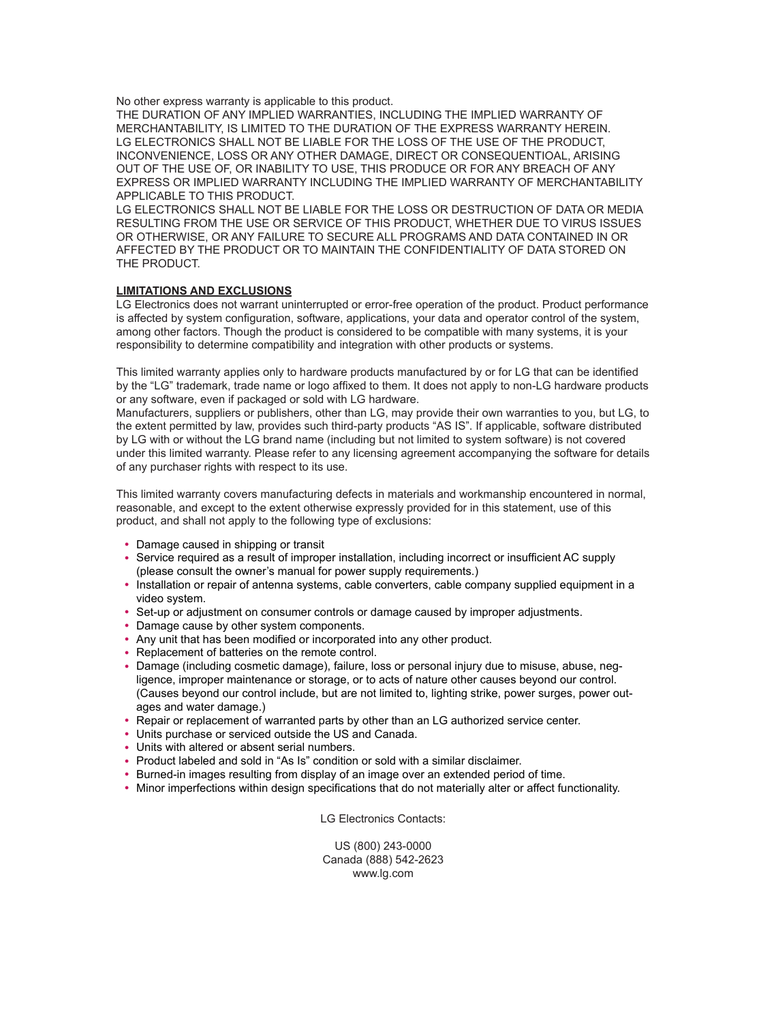No other express warranty is applicable to this product.

THE DURATION OF ANY IMPLIED WARRANTIES, INCLUDING THE IMPLIED WARRANTY OF MERCHANTABILITY, IS LIMITED TO THE DURATION OF THE EXPRESS WARRANTY HEREIN. LG ELECTRONICS SHALL NOT BE LIABLE FOR THE LOSS OF THE USE OF THE PRODUCT, INCONVENIENCE, LOSS OR ANY OTHER DAMAGE, DIRECT OR CONSEQUENTIOAL, ARISING OUT OF THE USE OF, OR INABILITY TO USE, THIS PRODUCE OR FOR ANY BREACH OF ANY EXPRESS OR IMPLIED WARRANTY INCLUDING THE IMPLIED WARRANTY OF MERCHANTABILITY APPLICABLE TO THIS PRODUCT.

LG ELECTRONICS SHALL NOT BE LIABLE FOR THE LOSS OR DESTRUCTION OF DATA OR MEDIA RESULTING FROM THE USE OR SERVICE OF THIS PRODUCT, WHETHER DUE TO VIRUS ISSUES OR OTHERWISE, OR ANY FAILURE TO SECURE ALL PROGRAMS AND DATA CONTAINED IN OR AFFECTED BY THE PRODUCT OR TO MAINTAIN THE CONFIDENTIALITY OF DATA STORED ON THE PRODUCT.

## **LIMITATIONS AND EXCLUSIONS**

LG Electronics does not warrant uninterrupted or error-free operation of the product. Product performance is affected by system configuration, software, applications, your data and operator control of the system, among other factors. Though the product is considered to be compatible with many systems, it is your responsibility to determine compatibility and integration with other products or systems.

This limited warranty applies only to hardware products manufactured by or for LG that can be identifed by the "LG" trademark, trade name or logo affxed to them. It does not apply to non-LG hardware products or any software, even if packaged or sold with LG hardware.

Manufacturers, suppliers or publishers, other than LG, may provide their own warranties to you, but LG, to the extent permitted by law, provides such third-party products "AS IS". If applicable, software distributed by LG with or without the LG brand name (including but not limited to system software) is not covered under this limited warranty. Please refer to any licensing agreement accompanying the software for details of any purchaser rights with respect to its use.

This limited warranty covers manufacturing defects in materials and workmanship encountered in normal, reasonable, and except to the extent otherwise expressly provided for in this statement, use of this product, and shall not apply to the following type of exclusions:

- Damage caused in shipping or transit
- Service required as a result of improper installation, including incorrect or insufficient AC supply (please consult the owner's manual for power supply requirements.)
- Installation or repair of antenna systems, cable converters, cable company supplied equipment in a video system.
- Set-up or adjustment on consumer controls or damage caused by improper adjustments.
- Damage cause by other system components.
- Any unit that has been modified or incorporated into any other product.
- Replacement of batteries on the remote control.
- y Damage (including cosmetic damage), failure, loss or personal injury due to misuse, abuse, negligence, improper maintenance or storage, or to acts of nature other causes beyond our control. (Causes beyond our control include, but are not limited to, lighting strike, power surges, power outages and water damage.)
- y Repair or replacement of warranted parts by other than an LG authorized service center.
- Units purchase or serviced outside the US and Canada.
- Units with altered or absent serial numbers.
- Product labeled and sold in "As Is" condition or sold with a similar disclaimer.
- Burned-in images resulting from display of an image over an extended period of time.
- Minor imperfections within design specifications that do not materially alter or affect functionality.

LG Electronics Contacts:

US (800) 243-0000 Canada (888) 542-2623 www.lg.com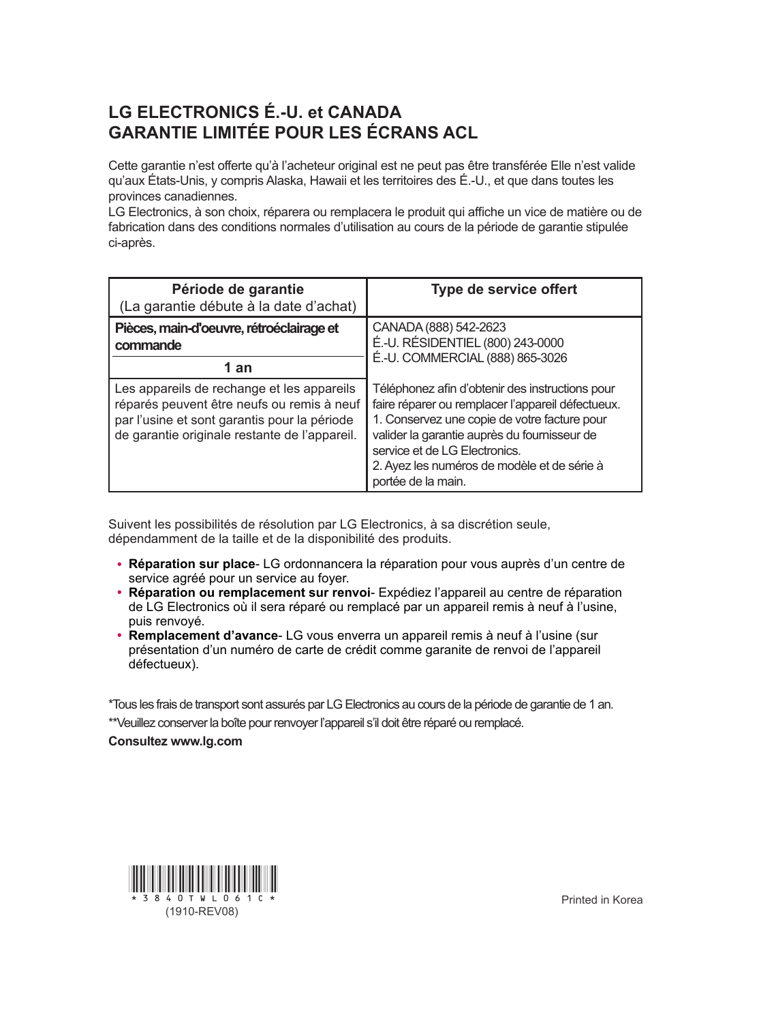## **LG ELECTRONICS É.-U. et CANADA GARANTIE LIMITÉE POUR LES ÉCRANS ACL**

Cette garantie n'est offerte qu'à l'acheteur original est ne peut pas être transférée Elle n'est valide qu'aux États-Unis, y compris Alaska, Hawaii et les territoires des É.-U., et que dans toutes les provinces canadiennes.

LG Electronics, à son choix, réparera ou remplacera le produit qui affiche un vice de matière ou de fabrication dans des conditions normales d'utilisation au cours de la période de garantie stipulée ci-après.

| Période de garantie<br>(La garantie débute à la date d'achat)                                                                                                                             | Type de service offert                                                                                                                                                                                                                                                                                     |
|-------------------------------------------------------------------------------------------------------------------------------------------------------------------------------------------|------------------------------------------------------------------------------------------------------------------------------------------------------------------------------------------------------------------------------------------------------------------------------------------------------------|
| Pièces, main-d'oeuvre, rétroéclairage et<br>commande                                                                                                                                      | CANADA (888) 542-2623<br>É.-U. RÉSIDENTIEL (800) 243-0000<br>É.-U. COMMERCIAL (888) 865-3026                                                                                                                                                                                                               |
| 1 an                                                                                                                                                                                      |                                                                                                                                                                                                                                                                                                            |
| Les appareils de rechange et les appareils<br>réparés peuvent être neufs ou remis à neuf<br>par l'usine et sont garantis pour la période<br>de garantie originale restante de l'appareil. | Téléphonez afin d'obtenir des instructions pour<br>faire réparer ou remplacer l'appareil défectueux.<br>1. Conservez une copie de votre facture pour<br>valider la garantie auprès du fournisseur de<br>service et de LG Electronics.<br>2. Ayez les numéros de modèle et de série à<br>portée de la main. |

Suivent les possibilités de résolution par LG Electronics, à sa discrétion seule, dépendamment de la taille et de la disponibilité des produits.

- y **Réparation sur place** LG ordonnancera la réparation pour vous auprès d'un centre de service agréé pour un service au foyer.
- y **Réparation ou remplacement sur renvoi** Expédiez l'appareil au centre de réparation de LG Electronics où il sera réparé ou remplacé par un appareil remis à neuf à l'usine, puis renvoyé.
- y **Remplacement d'avance** LG vous enverra un appareil remis à neuf à l'usine (sur présentation d'un numéro de carte de crédit comme garanite de renvoi de l'appareil défectueux).

\*Tous les frais de transport sont assurés par LG Electronics au cours de la période de garantie de 1 an.

\*\*Veuillez conserver la boîte pour renvoyer l'appareil s'il doit être réparé ou remplacé.

**Consultez www.lg.com**



Printed in Korea